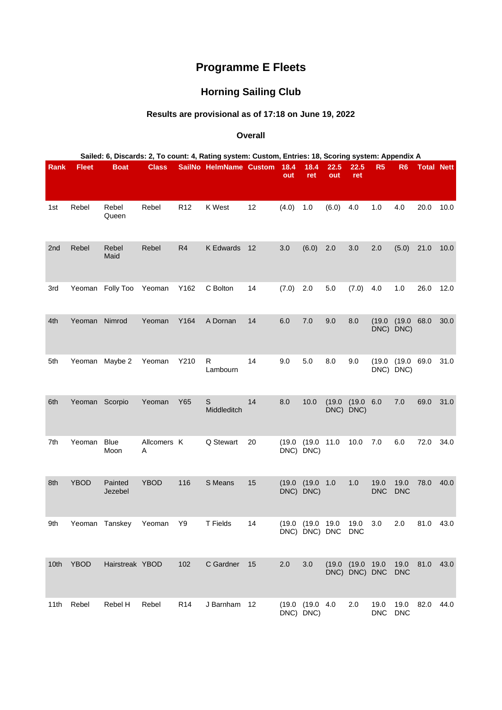## **Programme E Fleets**

## **Horning Sailing Club**

## **Results are provisional as of 17:18 on June 19, 2022**

## **Overall**

| Sailed: 6, Discards: 2, To count: 4, Rating system: Custom, Entries: 18, Scoring system: Appendix A |                |                     |                  |                 |                            |    |             |                                 |                   |                             |                    |                     |                   |      |
|-----------------------------------------------------------------------------------------------------|----------------|---------------------|------------------|-----------------|----------------------------|----|-------------|---------------------------------|-------------------|-----------------------------|--------------------|---------------------|-------------------|------|
| Rank                                                                                                | <b>Fleet</b>   | <b>Boat</b>         | <b>Class</b>     |                 | SailNo HelmName Custom     |    | 18.4<br>out | 18.4<br>ret                     | 22.5<br>out       | 22.5<br>ret                 | R <sub>5</sub>     | R <sub>6</sub>      | <b>Total Nett</b> |      |
| 1st                                                                                                 | Rebel          | Rebel<br>Queen      | Rebel            | R <sub>12</sub> | K West                     | 12 | (4.0)       | 1.0                             | (6.0)             | 4.0                         | 1.0                | 4.0                 | 20.0              | 10.0 |
| 2nd                                                                                                 | Rebel          | Rebel<br>Maid       | Rebel            | R <sub>4</sub>  | <b>K Edwards</b>           | 12 | 3.0         | (6.0)                           | 2.0               | 3.0                         | 2.0                | (5.0)               | 21.0              | 10.0 |
| 3rd                                                                                                 | Yeoman         | Folly Too           | Yeoman           | Y162            | C Bolton                   | 14 | (7.0)       | 2.0                             | 5.0               | (7.0)                       | 4.0                | 1.0                 | 26.0              | 12.0 |
| 4th                                                                                                 | Yeoman         | Nimrod              | Yeoman           | Y164            | A Dornan                   | 14 | $6.0\,$     | 7.0                             | 9.0               | 8.0                         | (19.0)             | (19.0)<br>DNC) DNC) | 68.0              | 30.0 |
| 5th                                                                                                 | Yeoman         | Maybe 2             | Yeoman           | Y210            | R<br>Lambourn              | 14 | 9.0         | 5.0                             | 8.0               | 9.0                         | (19.0)             | (19.0)<br>DNC) DNC) | 69.0              | 31.0 |
| 6th                                                                                                 | Yeoman Scorpio |                     | Yeoman           | Y65             | $\mathsf S$<br>Middleditch | 14 | 8.0         | 10.0                            | (19.0)<br>$DNC$ ) | (19.0 6.0)<br>DNC)          |                    | 7.0                 | 69.0              | 31.0 |
| 7th                                                                                                 | Yeoman         | <b>Blue</b><br>Moon | Allcomers K<br>Α |                 | Q Stewart                  | 20 | (19.0)      | (19.0)<br>DNC) DNC)             | 11.0              | 10.0                        | 7.0                | 6.0                 | 72.0              | 34.0 |
| 8th                                                                                                 | <b>YBOD</b>    | Painted<br>Jezebel  | <b>YBOD</b>      | 116             | S Means                    | 15 | (19.0)      | (19.0)<br>DNC) DNC)             | 1.0               | 1.0                         | 19.0<br><b>DNC</b> | 19.0<br><b>DNC</b>  | 78.0              | 40.0 |
| 9th                                                                                                 |                | Yeoman Tanskey      | Yeoman           | Y9              | T Fields                   | 14 | (19.0       | (19.0 19.0<br>DNC) DNC) DNC DNC |                   | 19.0                        | 3.0                | 2.0                 | 81.0              | 43.0 |
| 10th                                                                                                | <b>YBOD</b>    | Hairstreak YBOD     |                  | 102             | C Gardner                  | 15 | 2.0         | 3.0                             | (19.0)            | (19.0 19.0<br>DNC) DNC) DNC |                    | 19.0<br><b>DNC</b>  | 81.0              | 43.0 |
| 11th                                                                                                | Rebel          | Rebel H             | Rebel            | R <sub>14</sub> | J Barnham                  | 12 |             | (19.0 (19.0 4.0<br>DNC) DNC)    |                   | 2.0                         | 19.0<br><b>DNC</b> | 19.0<br><b>DNC</b>  | 82.0              | 44.0 |